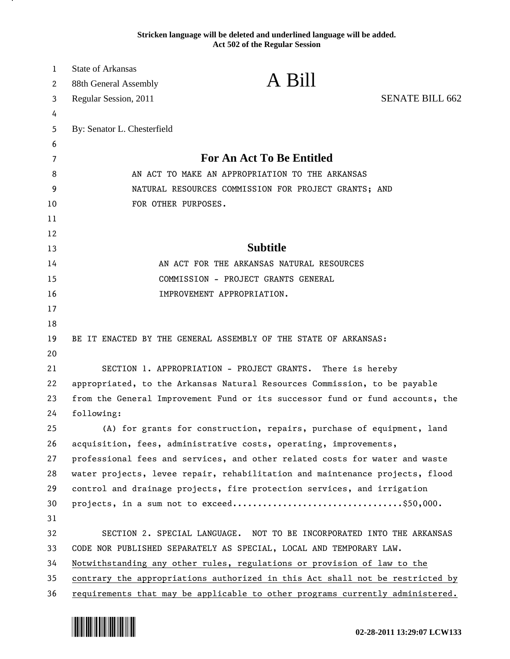**Stricken language will be deleted and underlined language will be added. Act 502 of the Regular Session**

| $\mathbf{1}$ | <b>State of Arkansas</b>                                                      |                                                                               |                        |
|--------------|-------------------------------------------------------------------------------|-------------------------------------------------------------------------------|------------------------|
| 2            | 88th General Assembly                                                         | A Bill                                                                        |                        |
| 3            | Regular Session, 2011                                                         |                                                                               | <b>SENATE BILL 662</b> |
| 4            |                                                                               |                                                                               |                        |
| 5            | By: Senator L. Chesterfield                                                   |                                                                               |                        |
| 6            |                                                                               |                                                                               |                        |
| 7            | <b>For An Act To Be Entitled</b>                                              |                                                                               |                        |
| 8            | AN ACT TO MAKE AN APPROPRIATION TO THE ARKANSAS                               |                                                                               |                        |
| 9            | NATURAL RESOURCES COMMISSION FOR PROJECT GRANTS; AND                          |                                                                               |                        |
| 10           | FOR OTHER PURPOSES.                                                           |                                                                               |                        |
| 11           |                                                                               |                                                                               |                        |
| 12           |                                                                               |                                                                               |                        |
| 13           |                                                                               | <b>Subtitle</b>                                                               |                        |
| 14           |                                                                               | AN ACT FOR THE ARKANSAS NATURAL RESOURCES                                     |                        |
| 15           |                                                                               | COMMISSION - PROJECT GRANTS GENERAL                                           |                        |
| 16           |                                                                               | IMPROVEMENT APPROPRIATION.                                                    |                        |
| 17           |                                                                               |                                                                               |                        |
| 18           |                                                                               |                                                                               |                        |
| 19           |                                                                               | BE IT ENACTED BY THE GENERAL ASSEMBLY OF THE STATE OF ARKANSAS:               |                        |
| 20           |                                                                               |                                                                               |                        |
| 21           |                                                                               | SECTION 1. APPROPRIATION - PROJECT GRANTS. There is hereby                    |                        |
| 22           |                                                                               | appropriated, to the Arkansas Natural Resources Commission, to be payable     |                        |
| 23           | from the General Improvement Fund or its successor fund or fund accounts, the |                                                                               |                        |
| 24           | following:                                                                    |                                                                               |                        |
| 25           |                                                                               | (A) for grants for construction, repairs, purchase of equipment, land         |                        |
| 26           |                                                                               | acquisition, fees, administrative costs, operating, improvements,             |                        |
| 27           |                                                                               | professional fees and services, and other related costs for water and waste   |                        |
| 28           |                                                                               | water projects, levee repair, rehabilitation and maintenance projects, flood  |                        |
| 29           |                                                                               | control and drainage projects, fire protection services, and irrigation       |                        |
| 30           |                                                                               |                                                                               |                        |
| 31           |                                                                               |                                                                               |                        |
| 32           |                                                                               | SECTION 2. SPECIAL LANGUAGE. NOT TO BE INCORPORATED INTO THE ARKANSAS         |                        |
| 33           |                                                                               | CODE NOR PUBLISHED SEPARATELY AS SPECIAL, LOCAL AND TEMPORARY LAW.            |                        |
| 34           |                                                                               | Notwithstanding any other rules, regulations or provision of law to the       |                        |
| 35           |                                                                               | contrary the appropriations authorized in this Act shall not be restricted by |                        |
| 36           |                                                                               | requirements that may be applicable to other programs currently administered. |                        |



.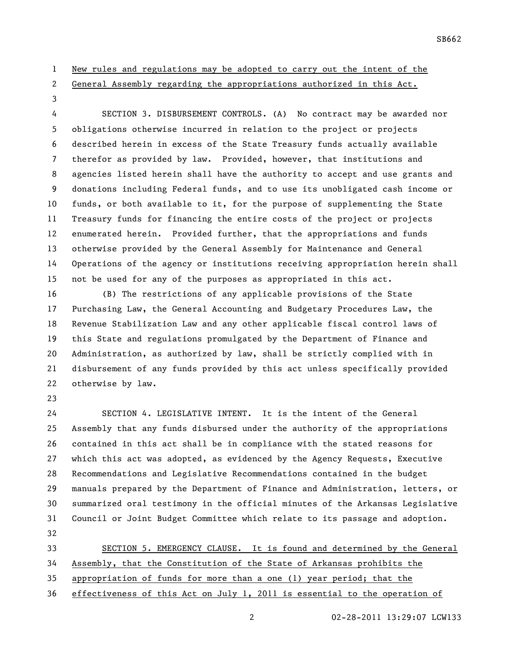New rules and regulations may be adopted to carry out the intent of the

General Assembly regarding the appropriations authorized in this Act.

 SECTION 3. DISBURSEMENT CONTROLS. (A) No contract may be awarded nor obligations otherwise incurred in relation to the project or projects described herein in excess of the State Treasury funds actually available therefor as provided by law. Provided, however, that institutions and agencies listed herein shall have the authority to accept and use grants and donations including Federal funds, and to use its unobligated cash income or funds, or both available to it, for the purpose of supplementing the State Treasury funds for financing the entire costs of the project or projects enumerated herein. Provided further, that the appropriations and funds otherwise provided by the General Assembly for Maintenance and General Operations of the agency or institutions receiving appropriation herein shall not be used for any of the purposes as appropriated in this act.

 (B) The restrictions of any applicable provisions of the State Purchasing Law, the General Accounting and Budgetary Procedures Law, the Revenue Stabilization Law and any other applicable fiscal control laws of this State and regulations promulgated by the Department of Finance and Administration, as authorized by law, shall be strictly complied with in disbursement of any funds provided by this act unless specifically provided otherwise by law.

 SECTION 4. LEGISLATIVE INTENT. It is the intent of the General Assembly that any funds disbursed under the authority of the appropriations contained in this act shall be in compliance with the stated reasons for which this act was adopted, as evidenced by the Agency Requests, Executive Recommendations and Legislative Recommendations contained in the budget manuals prepared by the Department of Finance and Administration, letters, or summarized oral testimony in the official minutes of the Arkansas Legislative Council or Joint Budget Committee which relate to its passage and adoption. 

 SECTION 5. EMERGENCY CLAUSE. It is found and determined by the General Assembly, that the Constitution of the State of Arkansas prohibits the appropriation of funds for more than a one (1) year period; that the effectiveness of this Act on July 1, 2011 is essential to the operation of

02-28-2011 13:29:07 LCW133